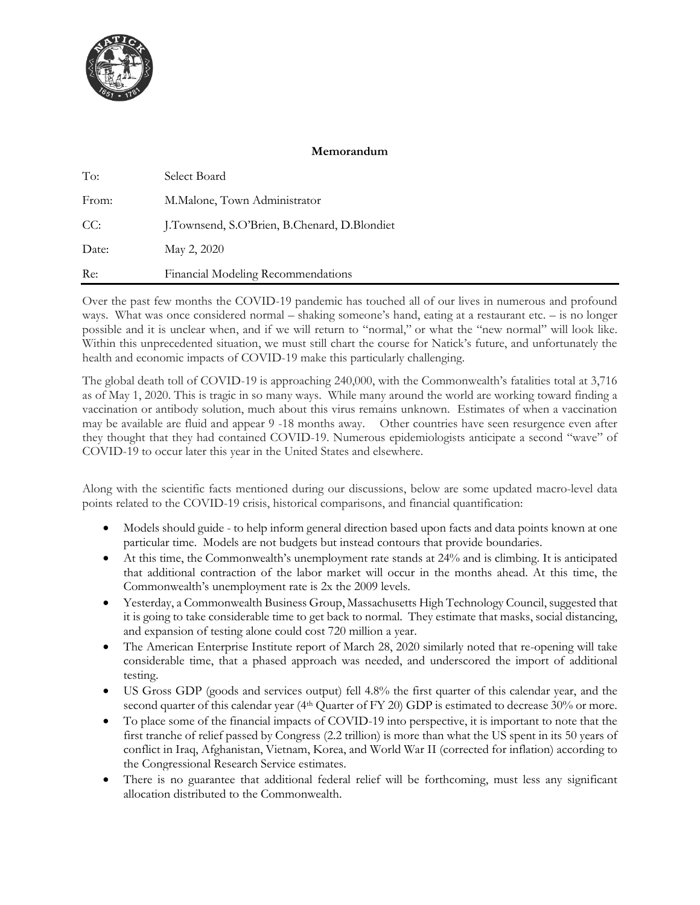

# **Memorandum**

| To:   | Select Board                                 |
|-------|----------------------------------------------|
| From: | M.Malone, Town Administrator                 |
| CC:   | J.Townsend, S.O'Brien, B.Chenard, D.Blondiet |
| Date: | May 2, 2020                                  |
| Re:   | Financial Modeling Recommendations           |

Over the past few months the COVID-19 pandemic has touched all of our lives in numerous and profound ways. What was once considered normal – shaking someone's hand, eating at a restaurant etc. – is no longer possible and it is unclear when, and if we will return to "normal," or what the "new normal" will look like. Within this unprecedented situation, we must still chart the course for Natick's future, and unfortunately the health and economic impacts of COVID-19 make this particularly challenging.

The global death toll of COVID-19 is approaching 240,000, with the Commonwealth's fatalities total at 3,716 as of May 1, 2020. This is tragic in so many ways. While many around the world are working toward finding a vaccination or antibody solution, much about this virus remains unknown. Estimates of when a vaccination may be available are fluid and appear 9 -18 months away. Other countries have seen resurgence even after they thought that they had contained COVID-19. Numerous epidemiologists anticipate a second "wave" of COVID-19 to occur later this year in the United States and elsewhere.

Along with the scientific facts mentioned during our discussions, below are some updated macro-level data points related to the COVID-19 crisis, historical comparisons, and financial quantification:

- Models should guide to help inform general direction based upon facts and data points known at one particular time. Models are not budgets but instead contours that provide boundaries.
- At this time, the Commonwealth's unemployment rate stands at 24% and is climbing. It is anticipated that additional contraction of the labor market will occur in the months ahead. At this time, the Commonwealth's unemployment rate is 2x the 2009 levels.
- Yesterday, a Commonwealth Business Group, Massachusetts High Technology Council, suggested that it is going to take considerable time to get back to normal. They estimate that masks, social distancing, and expansion of testing alone could cost 720 million a year.
- The American Enterprise Institute report of March 28, 2020 similarly noted that re-opening will take considerable time, that a phased approach was needed, and underscored the import of additional testing.
- US Gross GDP (goods and services output) fell 4.8% the first quarter of this calendar year, and the second quarter of this calendar year (4<sup>th</sup> Quarter of FY 20) GDP is estimated to decrease 30% or more.
- To place some of the financial impacts of COVID-19 into perspective, it is important to note that the first tranche of relief passed by Congress (2.2 trillion) is more than what the US spent in its 50 years of conflict in Iraq, Afghanistan, Vietnam, Korea, and World War II (corrected for inflation) according to the Congressional Research Service estimates.
- There is no guarantee that additional federal relief will be forthcoming, must less any significant allocation distributed to the Commonwealth.